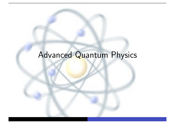## Advanced Quantum Physics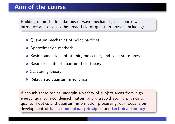### Aim of the course

Building upon the foundations of wave mechanics, this course will introduce and develop the broad field of quantum physics including:

- **•** Quantum mechanics of point particles
- **•** Approximation methods
- **•** Basic foundations of atomic, molecular, and solid state physics
- **•** Basic elements of quantum field theory
- **•** Scattering theory
- **•** Relativistic quantum mechanics

Although these topics underpin a variety of subject areas from high energy, quantum condensed matter, and ultracold atomic physics to quantum optics and quantum information processing, our focus is on development of basic conceptual principles and technical fluency.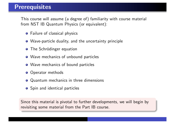This course will assume (a degree of) familiarity with course material from NST IB Quantum Physics (or equivalent):

- **•** Failure of classical physics
- Wave-particle duality, and the uncertainty principle
- **O** The Schrödinger equation
- Wave mechanics of unbound particles
- Wave mechanics of bound particles
- **O** Operator methods
- Quantum mechanics in three dimensions
- **•** Spin and identical particles

Since this material is pivotal to further developments, we will begin by revisiting some material from the Part IB course.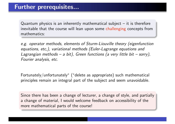Quantum physics is an inherently mathematical subject  $-$  it is therefore inevitable that the course will lean upon some challenging concepts from mathematics:

*e.g. operator methods, elements of Sturm-Liouville theory (eigenfunction equations, etc,), variational methods (Euler-Lagrange equations and Lagrangian methods – a bit), Green functions (a very little bit – sorry), Fourier analysis, etc.*

Fortunately/unfortunately<sup>∗</sup> (∗delete as appropriate) such mathematical principles remain an integral part of the subject and seem unavoidable.

Since there has been a change of lecturer, a change of style, and partially a change of material, I would welcome feedback on accessibility of the more mathematical parts of the course!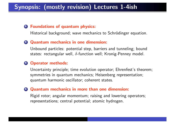### Synopsis: (mostly revision) Lectures 1-4ish

#### **1 Foundations of quantum physics:**

Historical background; wave mechanics to Schrödinger equation.

#### <sup>2</sup> Quantum mechanics in one dimension:

Unbound particles: potential step, barriers and tunneling; bound states: rectangular well,  $\delta$ -function well; Kronig-Penney model.

#### <sup>3</sup> Operator methods:

Uncertainty principle; time evolution operator; Ehrenfest's theorem; symmetries in quantum mechanics; Heisenberg representation; quantum harmonic oscillator; coherent states.

#### <sup>4</sup> Quantum mechanics in more than one dimension:

Rigid rotor; angular momentum; raising and lowering operators; representations; central potential; atomic hydrogen.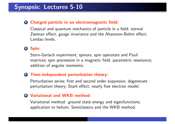#### <sup>5</sup> Charged particle in an electromagnetic field:

Classical and quantum mechanics of particle in a field; normal Zeeman effect; gauge invariance and the Aharonov-Bohm effect; Landau levels.

#### <sup>6</sup> Spin:

Stern-Gerlach experiment; spinors, spin operators and Pauli matrices; spin precession in a magnetic field; parametric resonance; addition of angular momenta.

#### **2 Time-independent perturbation theory:**

Perturbation series; first and second order expansion; degenerate perturbation theory; Stark effect; nearly free electron model.

#### 8 Variational and WKB method:

Variational method: ground state energy and eigenfunctions; application to helium; Semiclassics and the WKB method.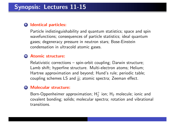#### <sup>9</sup> Identical particles:

Particle indistinguishability and quantum statistics; space and spin wavefunctions; consequences of particle statistics; ideal quantum gases; degeneracy pressure in neutron stars; Bose-Einstein condensation in ultracold atomic gases.

#### <sup>10</sup> Atomic structure:

Relativistic corrections – spin-orbit coupling; Darwin structure; Lamb shift; hyperfine structure. Multi-electron atoms; Helium; Hartree approximation and beyond; Hund's rule; periodic table; coupling schemes LS and jj; atomic spectra; Zeeman effect.

#### **41 Molecular structure:**

Born-Oppenheimer approximation;  $H_2^+$  ion;  $H_2$  molecule; ionic and covalent bonding; solids; molecular spectra; rotation and vibrational transitions.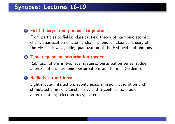#### <sup>12</sup> Field theory: from phonons to photons:

From particles to fields: classical field theory of harmonic atomic chain; quantization of atomic chain; phonons. Classical theory of the EM field; waveguide; quantization of the EM field and photons.

#### <sup>13</sup> Time-dependent perturbation theory:

Rabi oscillations in two level systems; perturbation series; sudden approximation; harmonic perturbations and Fermi's Golden rule.

#### **Radiative transitions:**

Light-matter interaction; spontaneous emission; absorption and stimulated emission; Einstein's A and B coefficents; dipole approximation; selection rules; †lasers.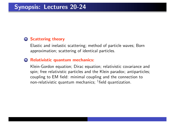#### **15 Scattering theory**

Elastic and inelastic scattering; method of particle waves; Born approximation; scattering of identical particles.

#### <sup>16</sup> Relativistic quantum mechanics:

Klein-Gordon equation; Dirac equation; relativistic covariance and spin; free relativistic particles and the Klein paradox; antiparticles; coupling to EM field: minimal coupling and the connection to non-relativistic quantum mechanics; †field quantization.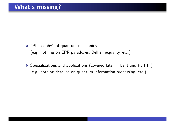- "Philosophy" of quantum mechanics (e.g. nothing on EPR paradoxes, Bell's inequality, etc.)
- Specializations and applications (covered later in Lent and Part III) (e.g. nothing detailed on quantum information processing, etc.)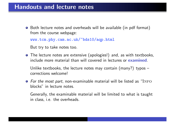### Handouts and lecture notes

● Both lecture notes and overheads will be available (in pdf format) from the course webpage:

www.tcm.phy.cam.ac.uk/~bds10/aqp.html

But try to take notes too.

The lecture notes are extensive (apologies!) and, as with textbooks, include more material than will covered in lectures or examined.

Unlike textbooks, the lecture notes may contain (many?) typos – corrections welcome!

**•** For the most part, non-examinable material will be listed as "INFO blocks" in lecture notes.

Generally, the examinable material will be limited to what is taught in class, i.e. the overheads.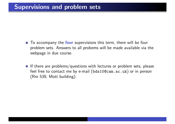- **•** To accompany the **four** supervisions this term, there will be four problem sets. Answers to all probems will be made available via the webpage in due course.
- $\bullet$  If there are problems/questions with lectures or problem sets, please feel free to contact me by e-mail (bds10@cam.ac.uk) or in person (Rm 539, Mott building).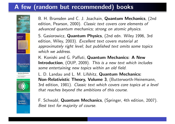### A few (random but recommended) books



B. H. Bransden and C. J. Joachain, Quantum Mechanics, (2nd edition, Pearson, 2000). *Classic text covers core elements of advanced quantum mechanics; strong on atomic physics.*

S. Gasiorowicz, Quantum Physics, (2nd edn. Wiley 1996, 3rd edition, Wiley, 2003). *Excellent text covers material at approximately right level; but published text omits some topics which we address.*

K. Konishi and G. Paffuti, Quantum Mechanics: A New Introduction, (OUP, 2009). *This is a new text which includes some entertaining new topics within an old field.*

L. D. Landau and L. M. Lifshitz, Quantum Mechanics: Non-Relativistic Theory, Volume 3, (Butterworth-Heinemann, 3rd edition, 1981). *Classic text which covers core topics at a level that reaches beyond the ambitions of this course.*

F. Schwabl, Quantum Mechanics, (Springer, 4th edition, 2007). *Best text for majority of course.*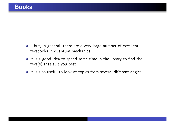- ...but, in general, there are a very large number of excellent textbooks in quantum mechanics.
- It is a good idea to spend some time in the library to find the text(s) that suit you best.
- $\bullet$  It is also useful to look at topics from several different angles.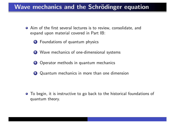### Wave mechanics and the Schrödinger equation

- Aim of the first several lectures is to review, consolidate, and expand upon material covered in Part IB:
	- **1** Foundations of quantum physics
	- 2 Wave mechanics of one-dimensional systems
	- **3** Operator methods in quantum mechanics
	- <sup>4</sup> Quantum mechanics in more than one dimension

To begin, it is instructive to go back to the historical foundations of  $\bullet$ quantum theory.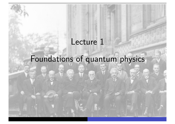## Lecture 1

# Foundations of quantum physics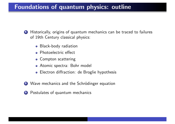### Foundations of quantum physics: outline

- **1** Historically, origins of quantum mechanics can be traced to failures of 19th Century classical physics:
	- Black-body radiation
	- Photoelectric effect
	- **Compton scattering**
	- Atomic spectra: Bohr model
	- Electron diffraction: de Broglie hypothesis
- 2 Wave mechanics and the Schrödinger equation
- <sup>3</sup> Postulates of quantum mechanics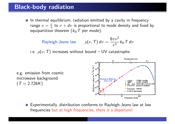### Black-body radiation

• In thermal equilibrium, radiation emitted by a cavity in frequency range  $\nu = \frac{c}{\lambda}$  to  $\nu + d\nu$  is proportional to mode density and fixed by equipartition theorem  $(k<sub>B</sub>T$  per mode):

> $\mathsf{Rayleigh\text{-}Jeans\ law} \qquad \rho(\nu,\,\mathcal{T})\,d\nu =$  $8\pi\nu^2$  $\frac{h^2}{c^3}$ *k*<sub>B</sub>*T* d*v*

i.e.  $\rho(\nu, T)$  increases without bound – UV catastrophe.

e.g. emission from cosmic microwave background  $(T \simeq 2.728K)$ 



Experimentally, distribution conforms to Rayleigh-Jeans law at low frequencies but at high frequencies, there is a departure!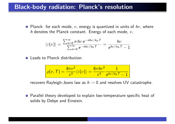### Black-body radiation: Planck's resolution

Planck: for each mode, ν, energy is quantized in units of *h*ν, where *h* denotes the Planck constant. Energy of each mode, ν,

$$
\langle \varepsilon(\nu) \rangle = \frac{\sum_{n=0}^{\infty} n \, h \nu \, e^{-nh\nu/k_{\rm B}T}}{\sum_{n=0}^{\infty} e^{-nh\nu/k_{\rm B}T}} = \frac{h\nu}{e^{h\nu/k_{\rm B}T}-1}
$$

**Q** Leads to Planck distribution:

$$
\rho(\nu, T) = \frac{8\pi\nu^2}{c^3} \langle \varepsilon(\nu) \rangle = \frac{8\pi h\nu^3}{c^3} \frac{1}{e^{h\nu/k_\mathrm{B}T}-1}
$$

recovers Rayleigh-Jeans law as  $h \rightarrow 0$  and resolves UV catastrophe.

● Parallel theory developed to explain low-temperature specific heat of solids by Debye and Einstein.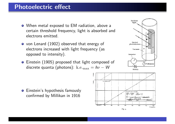### Photoelectric effect

- When metal exposed to EM radiation, above a certain threshold frequency, light is absorbed and electrons emitted.
- von Lenard (1902) observed that energy of electrons increased with light frequency (as opposed to intensity).
- Einstein (1905) proposed that light composed of discrete quanta (photons): k.e.max = *h*ν − *W*



**•** Einstein's hypothesis famously confirmed by Millikan in 1916

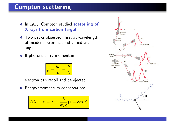### Compton scattering

- o In 1923, Compton studied scattering of X-rays from carbon target.
- **•** Two peaks observed: first at wavelength of incident beam; second varied with angle.
- If photons carry momentum,

$$
p = \frac{h\nu}{c} = \frac{h}{\lambda}
$$

electron can recoil and be ejected.

**•** Energy/momentum conservation:

$$
\Delta\lambda = \lambda' - \lambda = \frac{h}{m_e c} (1 - \cos\theta)
$$

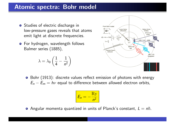### Atomic spectra: Bohr model

- **•** Studies of electric discharge in low-pressure gases reveals that atoms emit light at discrete frequencies.
- **•** For hydrogen, wavelength follows Balmer series (1885),

$$
\lambda = \lambda_0 \left( \frac{1}{4} - \frac{1}{n^2} \right)
$$



● Bohr (1913): discrete values reflect emission of photons with energy  $E_n - E_m = h\nu$  equal to difference between allowed electron orbits,

$$
E_n = -\frac{\mathrm{Ry}}{n^2}
$$

Angular momenta quantized in units of Planck's constant,  $L = n\hbar$ .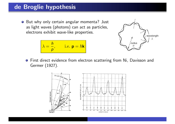### de Broglie hypothesis

● But why only certain angular momenta? Just as light waves (photons) can act as particles, electrons exhibit wave-like properties.

$$
\lambda = \frac{h}{p}, \qquad \text{i.e. } \mathbf{p} = \hbar \mathbf{k}
$$



**•** First direct evidence from electron scattering from Ni, Davisson and Germer (1927).

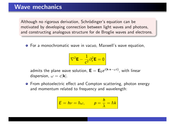Although no rigorous derivation, Schrödinger's equation can be motivated by developing connection between light waves and photons, and constructing analogous structure for de Broglie waves and electrons.

For a monochromatic wave in vacuo, Maxwell's wave equation,

$$
\nabla^2 \mathbf{E} - \frac{1}{c^2} \partial_t^2 \mathbf{E} = 0
$$

 $\mathsf{admits\,\, the\,\, plane\,\, wave\,\, solution,\,\,} \mathbf{E} = \mathbf{E}_0 e^{i(\mathbf{k}\cdot\mathbf{x}-\omega t)}$ , with linear dispersion,  $\omega = c|\mathbf{k}|$ .

**•** From photoelectric effect and Compton scattering, photon energy and momentum related to frequency and wavelength:

$$
E = h\nu = \hbar\omega, \qquad p = \frac{h}{\lambda} = \hbar k
$$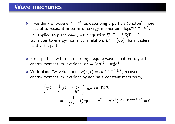### Wave mechanics

- If we think of wave *e<sup>i</sup>*(k·x−ω*t*) as describing a particle (photon), more natural to recast it in terms of energy/momentum,  $\mathbf{E}_0 e^{i(\mathbf{p}\cdot\mathbf{x}-\hat{Et})/\hbar}$ . i.e. applied to plane wave, wave equation  $\nabla^2 \mathbf{E} - \frac{1}{c^2} \partial_t^2 \mathbf{E} = 0$ translates to energy-momentum relation,  $E^2 = (c\bar{p})^2$  for massless relativistic particle.
- $\bullet$  For a particle with rest mass  $m_0$ , require wave equation to yield energy-momentum invariant,  $E^2 = (c\mathbf{p})^2 + m_0^2c^4$ .
- $\bullet$  With plane "wavefunction"  $\phi(x, t) = Ae^{i(\mathbf{p} \cdot \mathbf{x} Et)/\hbar}$ , recover energy-momentum invariant by adding a constant mass term,

$$
\left(\nabla^2 - \frac{1}{c^2} \partial_t^2 - \frac{m_0^2 c^2}{\hbar^2}\right) A e^{i(\mathbf{p}\cdot\mathbf{x} - Et)/\hbar}
$$
  
= 
$$
-\frac{1}{(\hbar c)^2} \left( (c\mathbf{p})^2 - E^2 + m_0^2 c^4 \right) A e^{i(\mathbf{p}\cdot\mathbf{x} - Et)/\hbar} = 0
$$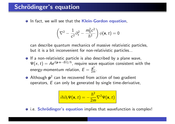### Schrödinger's equation

**O** In fact, we will see that the **Klein-Gordon equation**,

$$
\left(\nabla^2 - \frac{1}{c^2}\partial_t^2 - \frac{m_0^2c^2}{\hbar^2}\right)\phi(\mathbf{x}, t) = 0
$$

can describe quantum mechanics of massive relativistic particles, but it is a bit inconvenient for non-relativistic particles...

- **•** If a non-relativistic particle is also described by a plane wave,  $\Psi(x, t) = Ae^{i(\mathbf{p}\cdot\mathbf{x} - Et)/\hbar}$ , require wave equation consistent with the energy-momentum relation,  $E = \frac{\mathbf{p}^2}{2m}$ .
- Although  $p^2$  can be recovered from action of two gradient operators, *E* can only be generated by single time-derivative,

$$
i\hbar\partial_t\Psi(\mathbf{x},t)=-\frac{\hbar^2}{2m}\nabla^2\Psi(\mathbf{x},t)
$$

• i.e. Schrödinger's equation implies that wavefunction is complex!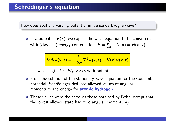### Schrödinger's equation

How does spatially varying potential influence de Broglie wave?

**•** In a potential  $V(x)$ , we expect the wave equation to be consistent with (classical) energy conservation,  $E = \frac{\mathbf{p}^2}{2m} + V(\mathbf{x}) = H(p, x)$ ,

$$
i\hbar\partial_t\Psi(\mathbf{x},t)=-\frac{\hbar^2}{2m}\nabla^2\Psi(\mathbf{x},t)+V(\mathbf{x})\Psi(\mathbf{x},t)
$$

i.e. wavelength  $\lambda \sim h/p$  varies with potential.

- **•** From the solution of the stationary wave equation for the Coulomb potential, Schrödinger deduced allowed values of angular momentum and energy for atomic hydrogen.
- **•** These values were the same as those obtained by Bohr (except that the lowest allowed state had zero angular momentum).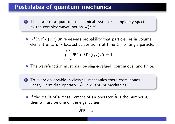### Postulates of quantum mechanics

- **1** The state of a quantum mechanical system is completely specified by the complex wavefunction  $\Psi(\mathbf{r},t)$ .
- Ψ∗(r,*t*)Ψ(r,*t*) *d*r represents probability that particle lies in volume element  $d\mathbf{r} \equiv d^d r$  located at position **r** at time *t*. For single particle,

$$
\int_{-\infty}^{\infty} \Psi^*(\mathbf{r},t)\Psi(\mathbf{r},t)\,d\mathbf{r}=1
$$

- **•** The wavefunction must also be single-valued, continuous, and finite.
- 2 To every observable in classical mechanics there corresponds a linear, Hermitian operator,  $\hat{A}$ , in quantum mechanics.
- **O** If the result of a measurement of an operator  $\hat{A}$  is the number a, then *a* must be one of the eigenvalues,

$$
\hat{A}\Psi=a\Psi
$$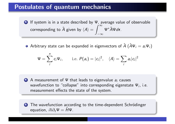### Postulates of quantum mechanics

<sup>3</sup> If system is in a state described by Ψ, average value of observable corresponding to  $\hat{A}$  given by  $\langle A \rangle =$  $\int_0^\infty$  $-\infty$ Ψ∗*A*ˆΨ*d*r.

**•** Arbitrary state can be expanded in eigenvectors of  $\hat{A}$  ( $\hat{A}\Psi_i = a_i\Psi_i$ )

$$
\Psi = \sum_{i}^{n} c_i \Psi_i, \qquad \text{i.e. } P(a_i) = |c_i|^2, \quad \langle A \rangle = \sum_{i} a_i |c_i|^2
$$

<sup>4</sup> A measurement of Ψ that leads to eigenvalue *a<sup>i</sup>* causes wavefunction to "collapse" into corresponding eigenstate Ψ*i*, i.e. measurement effects the state of the system.

5 The wavefunction according to the time-dependent Schrödinger equation,  $i\hbar\partial_t\Psi = \hat{H}\Psi$ .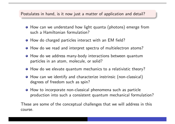#### Postulates in hand, is it now just a matter of application and detail?

- How can we understand how light quanta (photons) emerge from such a Hamiltonian formulation?
- How do charged particles interact with an EM field?
- **How do we read and interpret spectra of multielectron atoms?**
- **•** How do we address many-body interactions between quantum particles in an atom, molecule, or solid?
- **•** How do we elevate quantum mechanics to a relativistic theory?
- How can we identify and characterize instrinsic (non-classical) degrees of freedom such as spin?
- **•** How to incorporate non-classical phenomena such as particle production into such a consistent quantum mechanical formulation?

These are some of the conceptual challenges that we will address in this course.